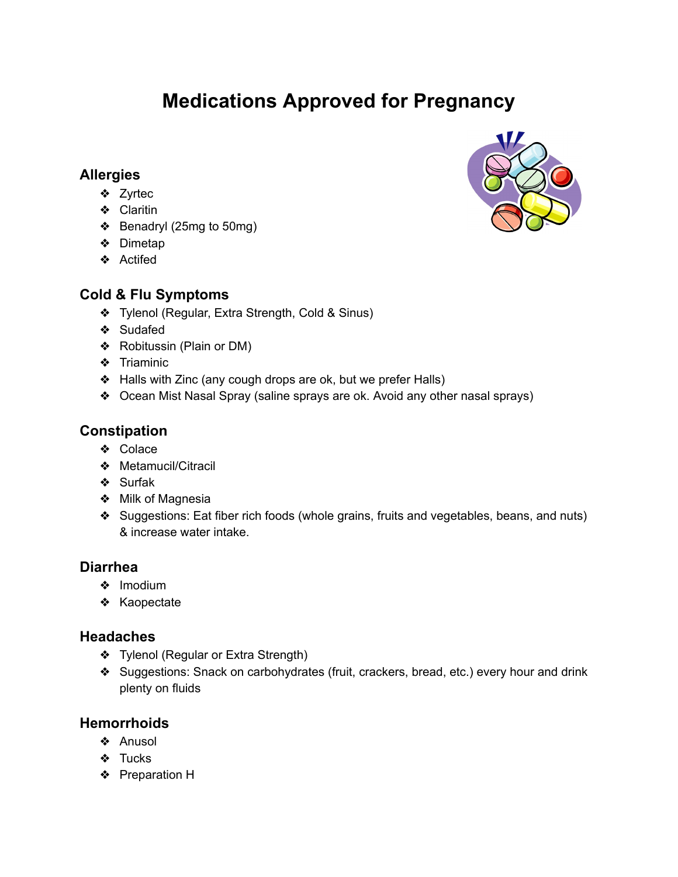# **Medications Approved for Pregnancy**

## **Allergies**

- ❖ Zyrtec
- ❖ Claritin
- ❖ Benadryl (25mg to 50mg)
- ❖ Dimetap
- ❖ Actifed

# **Cold & Flu Symptoms**

- ❖ Tylenol (Regular, Extra Strength, Cold & Sinus)
- ❖ Sudafed
- ❖ Robitussin (Plain or DM)
- ❖ Triaminic
- ❖ Halls with Zinc (any cough drops are ok, but we prefer Halls)
- ❖ Ocean Mist Nasal Spray (saline sprays are ok. Avoid any other nasal sprays)

# **Constipation**

- ❖ Colace
- ❖ Metamucil/Citracil
- ❖ Surfak
- ❖ Milk of Magnesia
- ❖ Suggestions: Eat fiber rich foods (whole grains, fruits and vegetables, beans, and nuts) & increase water intake.

## **Diarrhea**

- ❖ Imodium
- ❖ Kaopectate

## **Headaches**

- ❖ Tylenol (Regular or Extra Strength)
- ❖ Suggestions: Snack on carbohydrates (fruit, crackers, bread, etc.) every hour and drink plenty on fluids

# **Hemorrhoids**

- ❖ Anusol
- ❖ Tucks
- ❖ Preparation H